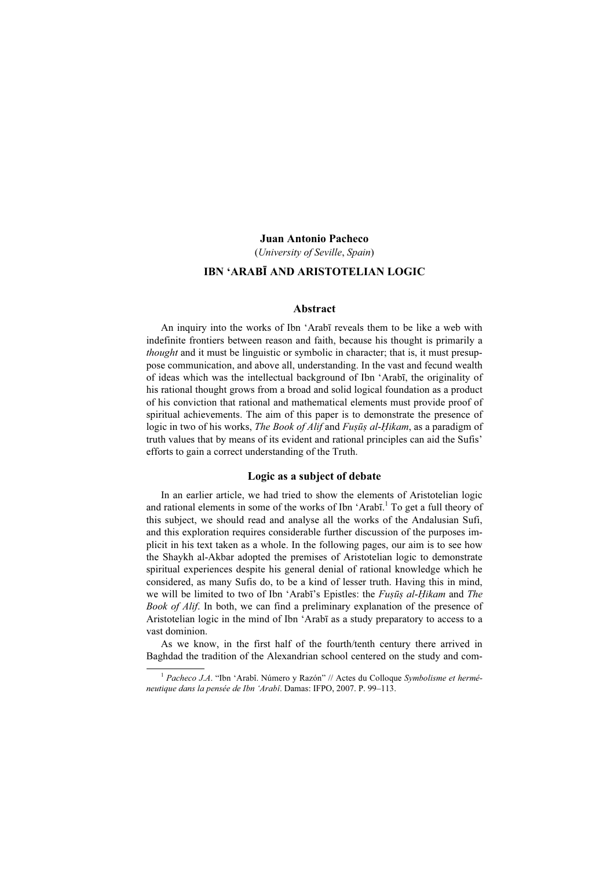## Juan Antonio Pacheco

(University of Seville, Spain)

# IBN 'ARABĪ AND ARISTOTELIAN LOGIC

## Abstract

An inquiry into the works of Ibn 'Arabī reveals them to be like a web with indefinite frontiers between reason and faith, because his thought is primarily a thought and it must be linguistic or symbolic in character; that is, it must presuppose communication, and above all, understanding. In the vast and fecund wealth of ideas which was the intellectual background of Ibn 'Arabī, the originality of his rational thought grows from a broad and solid logical foundation as a product of his conviction that rational and mathematical elements must provide proof of spiritual achievements. The aim of this paper is to demonstrate the presence of logic in two of his works, *The Book of Alif* and *Fusūs al-Hikam*, as a paradigm of truth values that by means of its evident and rational principles can aid the Sufis' efforts to gain a correct understanding of the Truth.

## Logic as a subject of debate

In an earlier article, we had tried to show the elements of Aristotelian logic and rational elements in some of the works of Ibn 'Arabī.<sup>1</sup> To get a full theory of this subject, we should read and analyse all the works of the Andalusian Sufi, and this exploration requires considerable further discussion of the purposes implicit in his text taken as a whole. In the following pages, our aim is to see how the Shaykh al-Akbar adopted the premises of Aristotelian logic to demonstrate spiritual experiences despite his general denial of rational knowledge which he considered, as many Sufis do, to be a kind of lesser truth. Having this in mind, we will be limited to two of Ibn 'Arabī's Epistles: the *Fusūs al-Hikam* and *The* Book of Alif. In both, we can find a preliminary explanation of the presence of Aristotelian logic in the mind of Ibn 'Arabī as a study preparatory to access to a vast dominion.

As we know, in the first half of the fourth/tenth century there arrived in Baghdad the tradition of the Alexandrian school centered on the study and com-

<sup>&</sup>lt;sup>1</sup> Pacheco J.A. "Ibn 'Arabî. Número y Razón" // Actes du Colloque Symbolisme et herméneutique dans la pensée de Ibn 'Arabî. Damas: IFPO, 2007. P. 99–113.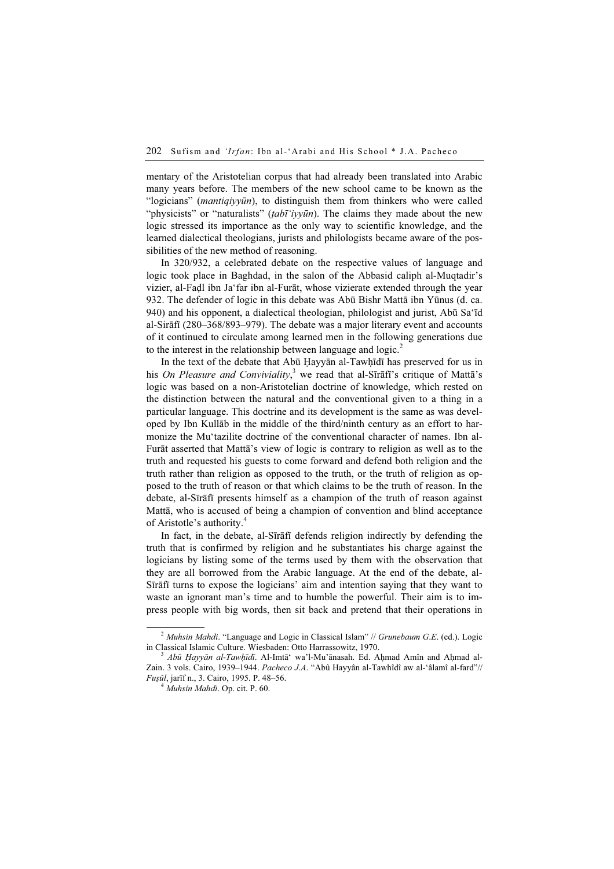mentary of the Aristotelian corpus that had already been translated into Arabic many years before. The members of the new school came to be known as the "logicians" (*mantiqiyyūn*), to distinguish them from thinkers who were called "physicists" or "naturalists" ( $tabi$ <sup>T</sup>iyy $\bar{u}$ n). The claims they made about the new logic stressed its importance as the only way to scientific knowledge, and the learned dialectical theologians, jurists and philologists became aware of the possibilities of the new method of reasoning.

In 320/932, a celebrated debate on the respective values of language and logic took place in Baghdad, in the salon of the Abbasid caliph al-Muqtadir's vizier, al-Faḍl ibn Ja'far ibn al-Furāt, whose vizierate extended through the year 932. The defender of logic in this debate was Abū Bishr Mattā ibn Yūnus (d. ca. 940) and his opponent, a dialectical theologian, philologist and jurist, Abū Sa'īd al-Sirāfī (280–368/893–979). The debate was a major literary event and accounts of it continued to circulate among learned men in the following generations due to the interest in the relationship between language and  $logic<sup>2</sup>$ .

In the text of the debate that Abū Ḥayyān al-Tawḥīdī has preserved for us in his On Pleasure and Conviviality,<sup>3</sup> we read that al-Sīrāfī's critique of Mattā's logic was based on a non-Aristotelian doctrine of knowledge, which rested on the distinction between the natural and the conventional given to a thing in a particular language. This doctrine and its development is the same as was developed by Ibn Kullāb in the middle of the third/ninth century as an effort to harmonize the Mu'tazilite doctrine of the conventional character of names. Ibn al-Furāt asserted that Mattā's view of logic is contrary to religion as well as to the truth and requested his guests to come forward and defend both religion and the truth rather than religion as opposed to the truth, or the truth of religion as opposed to the truth of reason or that which claims to be the truth of reason. In the debate, al-Sīrāfī presents himself as a champion of the truth of reason against Mattā, who is accused of being a champion of convention and blind acceptance of Aristotle's authority.<sup>4</sup>

In fact, in the debate, al-Sīrāfī defends religion indirectly by defending the truth that is confirmed by religion and he substantiates his charge against the logicians by listing some of the terms used by them with the observation that they are all borrowed from the Arabic language. At the end of the debate, al-Sīrāfī turns to expose the logicians' aim and intention saying that they want to waste an ignorant man's time and to humble the powerful. Their aim is to impress people with big words, then sit back and pretend that their operations in

 $2$  Muhsin Mahdi. "Language and Logic in Classical Islam" // Grunebaum G.E. (ed.). Logic in Classical Islamic Culture. Wiesbaden: Otto Harrassowitz, 1970.<br><sup>3</sup> Abū Ḥayyān al-Tawḥīdī. Al-Imtā' wa'l-Mu'ānasah. Ed. Aḥmad Amîn and Aḥmad al-

Zain. 3 vols. Cairo, 1939–1944. Pacheco J.A. "Abû Hayyân al-Tawhîdî aw al-'âlamî al-fard"// Fuṣûl, jarīf n., 3. Cairo, 1995. P. 48–56.

 $4$  Muhsin Mahdi. Op. cit. P. 60.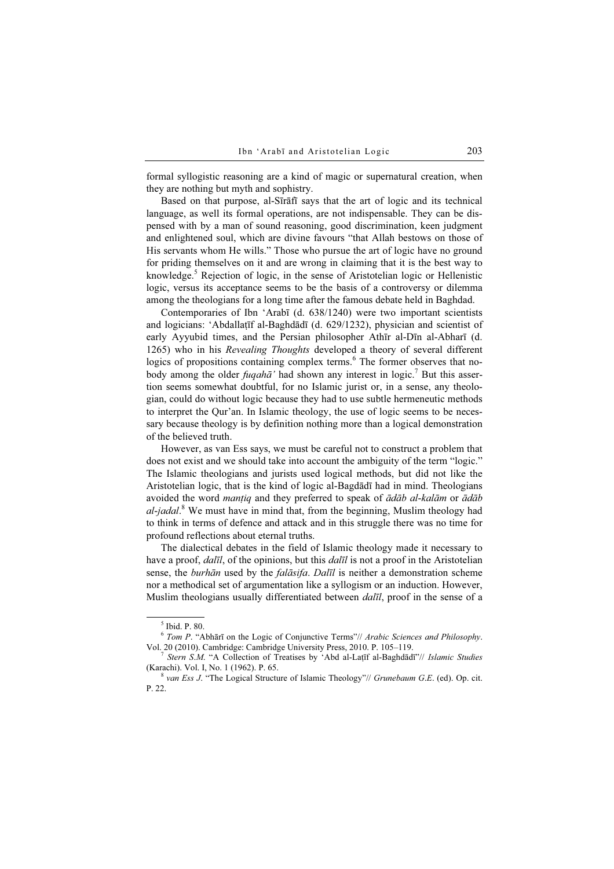formal syllogistic reasoning are a kind of magic or supernatural creation, when they are nothing but myth and sophistry.

Based on that purpose, al-Sīrāfī says that the art of logic and its technical language, as well its formal operations, are not indispensable. They can be dispensed with by a man of sound reasoning, good discrimination, keen judgment and enlightened soul, which are divine favours "that Allah bestows on those of His servants whom He wills." Those who pursue the art of logic have no ground for priding themselves on it and are wrong in claiming that it is the best way to knowledge.<sup>5</sup> Rejection of logic, in the sense of Aristotelian logic or Hellenistic logic, versus its acceptance seems to be the basis of a controversy or dilemma among the theologians for a long time after the famous debate held in Baghdad.

Contemporaries of Ibn 'Arabī (d. 638/1240) were two important scientists and logicians: 'Abdallaṭīf al-Baghdādī (d. 629/1232), physician and scientist of early Ayyubid times, and the Persian philosopher Athīr al-Dīn al-Abharī (d. 1265) who in his Revealing Thoughts developed a theory of several different logics of propositions containing complex terms.<sup>6</sup> The former observes that nobody among the older  $f u q a h \bar{a}$ ' had shown any interest in logic.<sup>7</sup> But this assertion seems somewhat doubtful, for no Islamic jurist or, in a sense, any theologian, could do without logic because they had to use subtle hermeneutic methods to interpret the Qur'an. In Islamic theology, the use of logic seems to be necessary because theology is by definition nothing more than a logical demonstration of the believed truth.

However, as van Ess says, we must be careful not to construct a problem that does not exist and we should take into account the ambiguity of the term "logic." The Islamic theologians and jurists used logical methods, but did not like the Aristotelian logic, that is the kind of logic al-Bagdādī had in mind. Theologians avoided the word *mantiq* and they preferred to speak of  $\bar{a}d\bar{a}b$  al-kalām or  $\bar{a}d\bar{a}b$ al-jadal.<sup>8</sup> We must have in mind that, from the beginning, Muslim theology had to think in terms of defence and attack and in this struggle there was no time for profound reflections about eternal truths.

The dialectical debates in the field of Islamic theology made it necessary to have a proof, *dalīl*, of the opinions, but this *dalīl* is not a proof in the Aristotelian sense, the *burhān* used by the *falāsifa*. Dalīl is neither a demonstration scheme nor a methodical set of argumentation like a syllogism or an induction. However, Muslim theologians usually differentiated between *dal*<sup>1</sup>, proof in the sense of a

<sup>5</sup> Ibid. P. 80.

 $6$  Tom P. "Abhārī on the Logic of Conjunctive Terms"// Arabic Sciences and Philosophy. Vol. 20 (2010). Cambridge: Cambridge University Press, 2010. P. 105-119.

<sup>&</sup>lt;sup>7</sup> Stern S.M. "A Collection of Treatises by 'Abd al-Laṭīf al-Baghdādī"// Islamic Studies (Karachi). Vol. I, No. 1 (1962). P. 65. **8** van Ess J. "The Logical Structure of Islamic Theology"// *Grunebaum G.E.* (ed). Op. cit.

P. 22.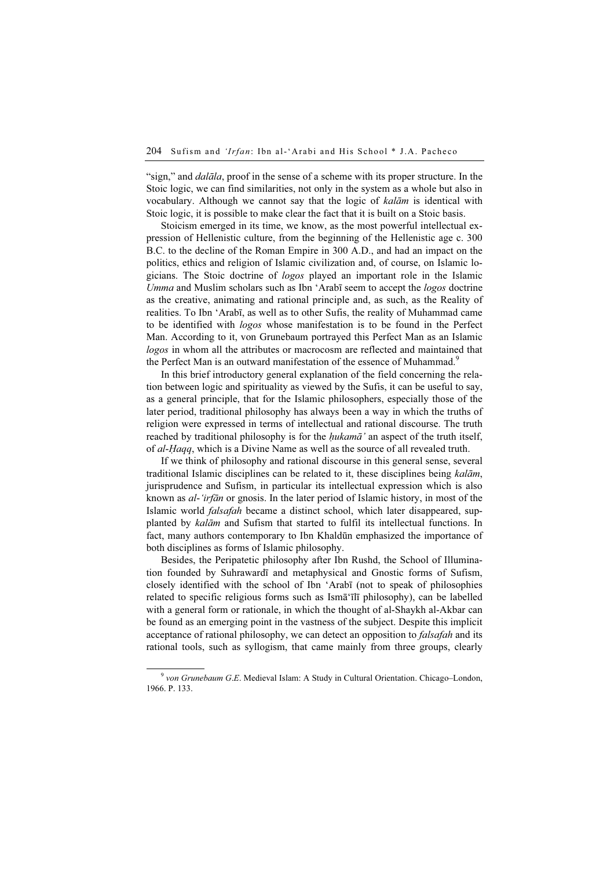"sign," and *dalāla*, proof in the sense of a scheme with its proper structure. In the Stoic logic, we can find similarities, not only in the system as a whole but also in vocabulary. Although we cannot say that the logic of kalām is identical with Stoic logic, it is possible to make clear the fact that it is built on a Stoic basis.

Stoicism emerged in its time, we know, as the most powerful intellectual expression of Hellenistic culture, from the beginning of the Hellenistic age c. 300 B.C. to the decline of the Roman Empire in 300 A.D., and had an impact on the politics, ethics and religion of Islamic civilization and, of course, on Islamic logicians. The Stoic doctrine of logos played an important role in the Islamic Umma and Muslim scholars such as Ibn 'Arabī seem to accept the *logos* doctrine as the creative, animating and rational principle and, as such, as the Reality of realities. To Ibn 'Arabī, as well as to other Sufis, the reality of Muhammad came to be identified with logos whose manifestation is to be found in the Perfect Man. According to it, von Grunebaum portrayed this Perfect Man as an Islamic logos in whom all the attributes or macrocosm are reflected and maintained that the Perfect Man is an outward manifestation of the essence of Muhammad.<sup>9</sup>

In this brief introductory general explanation of the field concerning the relation between logic and spirituality as viewed by the Sufis, it can be useful to say, as a general principle, that for the Islamic philosophers, especially those of the later period, traditional philosophy has always been a way in which the truths of religion were expressed in terms of intellectual and rational discourse. The truth reached by traditional philosophy is for the  $hukam\bar{a}'$  an aspect of the truth itself, of *al-Haqq*, which is a Divine Name as well as the source of all revealed truth.

If we think of philosophy and rational discourse in this general sense, several traditional Islamic disciplines can be related to it, these disciplines being kalām, jurisprudence and Sufism, in particular its intellectual expression which is also known as al-'irfān or gnosis. In the later period of Islamic history, in most of the Islamic world falsafah became a distinct school, which later disappeared, supplanted by kalām and Sufism that started to fulfil its intellectual functions. In fact, many authors contemporary to Ibn Khaldūn emphasized the importance of both disciplines as forms of Islamic philosophy.

Besides, the Peripatetic philosophy after Ibn Rushd, the School of Illumination founded by Suhrawardī and metaphysical and Gnostic forms of Sufism, closely identified with the school of Ibn 'Arabī (not to speak of philosophies related to specific religious forms such as Ismā'īlī philosophy), can be labelled with a general form or rationale, in which the thought of al-Shaykh al-Akbar can be found as an emerging point in the vastness of the subject. Despite this implicit acceptance of rational philosophy, we can detect an opposition to *falsafah* and its rational tools, such as syllogism, that came mainly from three groups, clearly

 $9$  von Grunebaum G.E. Medieval Islam: A Study in Cultural Orientation. Chicago-London, 1966. P. 133.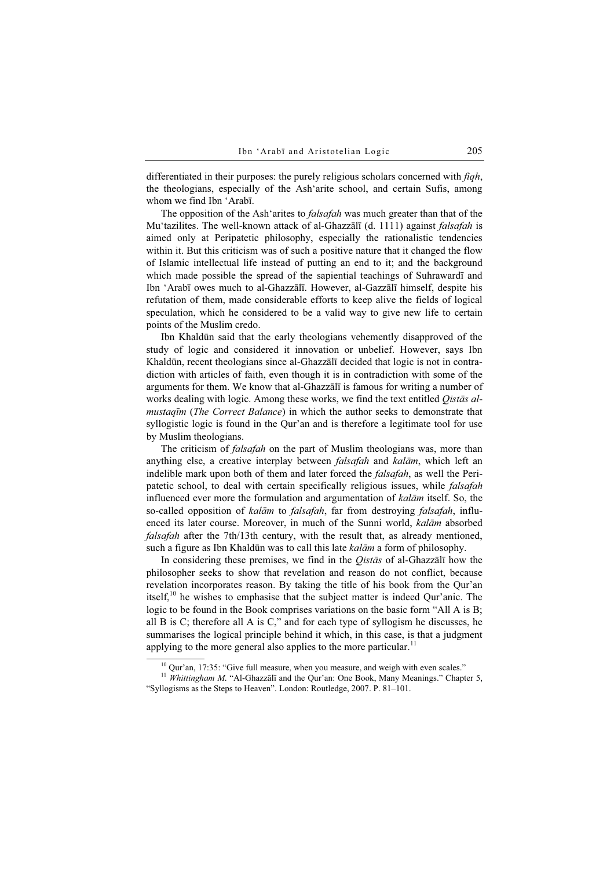differentiated in their purposes: the purely religious scholars concerned with *figh*, the theologians, especially of the Ash'arite school, and certain Sufis, among whom we find Ibn 'Arabī.

The opposition of the Ash'arites to *falsafah* was much greater than that of the Mu'tazilites. The well-known attack of al-Ghazzālī (d. 1111) against falsafah is aimed only at Peripatetic philosophy, especially the rationalistic tendencies within it. But this criticism was of such a positive nature that it changed the flow of Islamic intellectual life instead of putting an end to it; and the background which made possible the spread of the sapiential teachings of Suhrawardī and Ibn 'Arabī owes much to al-Ghazzālī. However, al-Gazzālī himself, despite his refutation of them, made considerable efforts to keep alive the fields of logical speculation, which he considered to be a valid way to give new life to certain points of the Muslim credo.

Ibn Khaldūn said that the early theologians vehemently disapproved of the study of logic and considered it innovation or unbelief. However, says Ibn Khaldūn, recent theologians since al-Ghazzālī decided that logic is not in contradiction with articles of faith, even though it is in contradiction with some of the arguments for them. We know that al-Ghazzālī is famous for writing a number of works dealing with logic. Among these works, we find the text entitled *Qistās al*mustaqīm (The Correct Balance) in which the author seeks to demonstrate that syllogistic logic is found in the Qur'an and is therefore a legitimate tool for use by Muslim theologians.

The criticism of *falsafah* on the part of Muslim theologians was, more than anything else, a creative interplay between *falsafah* and *kalām*, which left an indelible mark upon both of them and later forced the *falsafah*, as well the Peripatetic school, to deal with certain specifically religious issues, while *falsafah* influenced ever more the formulation and argumentation of kalām itself. So, the so-called opposition of kalām to falsafah, far from destroying falsafah, influenced its later course. Moreover, in much of the Sunni world, kalām absorbed falsafah after the 7th/13th century, with the result that, as already mentioned, such a figure as Ibn Khaldūn was to call this late *kalām* a form of philosophy.

In considering these premises, we find in the *Qistas* of al-Ghazzali how the philosopher seeks to show that revelation and reason do not conflict, because revelation incorporates reason. By taking the title of his book from the Qur'an itself,<sup>10</sup> he wishes to emphasise that the subject matter is indeed Qur'anic. The logic to be found in the Book comprises variations on the basic form "All A is B; all B is C; therefore all A is C," and for each type of syllogism he discusses, he summarises the logical principle behind it which, in this case, is that a judgment applying to the more general also applies to the more particular.<sup>11</sup>

<sup>&</sup>lt;sup>10</sup> Our'an, 17:35: "Give full measure, when you measure, and weigh with even scales."

 $11$  Whittingham M. "Al-Ghazzālī and the Qur'an: One Book, Many Meanings." Chapter 5, "Syllogisms as the Steps to Heaven". London: Routledge, 2007. P. 81–101.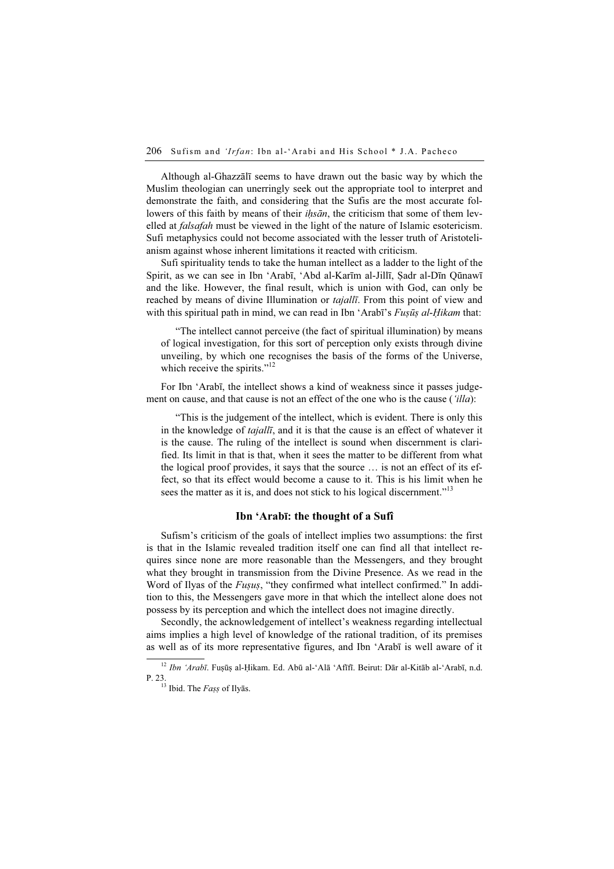Although al-Ghazzālī seems to have drawn out the basic way by which the Muslim theologian can unerringly seek out the appropriate tool to interpret and demonstrate the faith, and considering that the Sufis are the most accurate followers of this faith by means of their *ihsān*, the criticism that some of them levelled at *falsafah* must be viewed in the light of the nature of Islamic esotericism. Sufi metaphysics could not become associated with the lesser truth of Aristotelianism against whose inherent limitations it reacted with criticism.

Sufi spirituality tends to take the human intellect as a ladder to the light of the Spirit, as we can see in Ibn 'Arabī, 'Abd al-Karīm al-Jillī, Sadr al-Dīn Qūnawī and the like. However, the final result, which is union with God, can only be reached by means of divine Illumination or *tajall*<sup>7</sup>. From this point of view and with this spiritual path in mind, we can read in Ibn 'Arabī's Fusus al-Hikam that:

"The intellect cannot perceive (the fact of spiritual illumination) by means of logical investigation, for this sort of perception only exists through divine unveiling, by which one recognises the basis of the forms of the Universe, which receive the spirits." $12$ 

For Ibn 'Arabī, the intellect shows a kind of weakness since it passes judgement on cause, and that cause is not an effect of the one who is the cause ('illa):

"This is the judgement of the intellect, which is evident. There is only this in the knowledge of tajallī, and it is that the cause is an effect of whatever it is the cause. The ruling of the intellect is sound when discernment is clarified. Its limit in that is that, when it sees the matter to be different from what the logical proof provides, it says that the source … is not an effect of its effect, so that its effect would become a cause to it. This is his limit when he sees the matter as it is, and does not stick to his logical discernment."<sup>13</sup>

## Ibn 'Arabī: the thought of a Sufî

Sufism's criticism of the goals of intellect implies two assumptions: the first is that in the Islamic revealed tradition itself one can find all that intellect requires since none are more reasonable than the Messengers, and they brought what they brought in transmission from the Divine Presence. As we read in the Word of Ilyas of the *Fusus*, "they confirmed what intellect confirmed." In addition to this, the Messengers gave more in that which the intellect alone does not possess by its perception and which the intellect does not imagine directly.

Secondly, the acknowledgement of intellect's weakness regarding intellectual aims implies a high level of knowledge of the rational tradition, of its premises as well as of its more representative figures, and Ibn 'Arabī is well aware of it

 $^{12}$   $Ibn\;$ 'Arabī. Fuṣūṣ al-Ḥikam. Ed. Abū al-'Alā 'Afīfī. Beirut: Dār al-Kitāb al-'Arabī, n.d. P. 23.

 $^{13}$  Ibid. The *Fa*ṣṣ of Ilyās.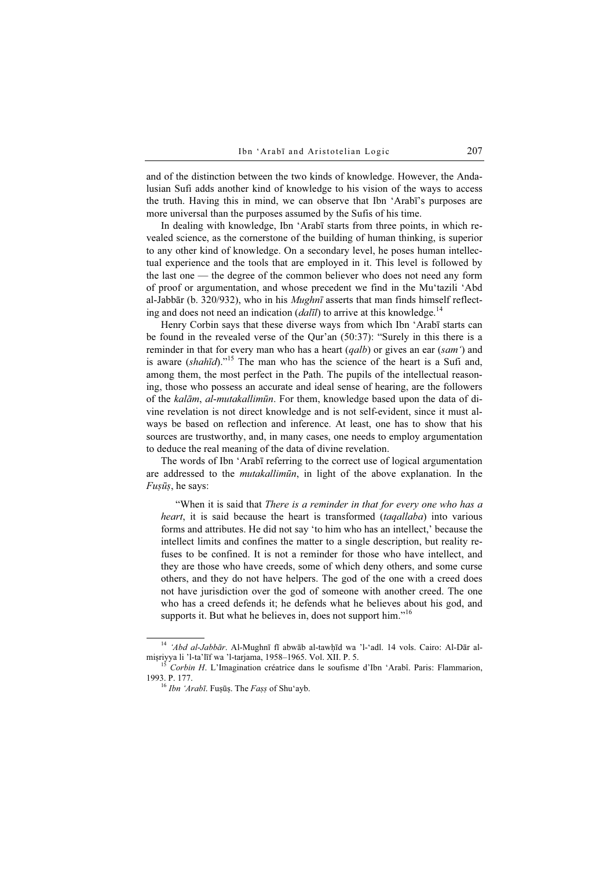and of the distinction between the two kinds of knowledge. However, the Andalusian Sufi adds another kind of knowledge to his vision of the ways to access the truth. Having this in mind, we can observe that Ibn 'Arabī's purposes are more universal than the purposes assumed by the Sufis of his time.

In dealing with knowledge, Ibn 'Arabī starts from three points, in which revealed science, as the cornerstone of the building of human thinking, is superior to any other kind of knowledge. On a secondary level, he poses human intellectual experience and the tools that are employed in it. This level is followed by the last one — the degree of the common believer who does not need any form of proof or argumentation, and whose precedent we find in the Mu'tazili 'Abd al-Jabbār (b. 320/932), who in his *Mughn* $\bar{i}$  asserts that man finds himself reflecting and does not need an indication (dalil) to arrive at this knowledge.<sup>14</sup>

Henry Corbin says that these diverse ways from which Ibn 'Arabī starts can be found in the revealed verse of the Qur'an (50:37): "Surely in this there is a reminder in that for every man who has a heart  $(qalb)$  or gives an ear  $(sam')$  and is aware (shahīd)."<sup>15</sup> The man who has the science of the heart is a Sufi and, among them, the most perfect in the Path. The pupils of the intellectual reasoning, those who possess an accurate and ideal sense of hearing, are the followers of the kalām, al-mutakallimūn. For them, knowledge based upon the data of divine revelation is not direct knowledge and is not self-evident, since it must always be based on reflection and inference. At least, one has to show that his sources are trustworthy, and, in many cases, one needs to employ argumentation to deduce the real meaning of the data of divine revelation.

The words of Ibn 'Arabī referring to the correct use of logical argumentation are addressed to the mutakallimūn, in light of the above explanation. In the  $Fus\bar{u}s$ , he says:

"When it is said that There is a reminder in that for every one who has a heart, it is said because the heart is transformed (tagallaba) into various forms and attributes. He did not say 'to him who has an intellect,' because the intellect limits and confines the matter to a single description, but reality refuses to be confined. It is not a reminder for those who have intellect, and they are those who have creeds, some of which deny others, and some curse others, and they do not have helpers. The god of the one with a creed does not have jurisdiction over the god of someone with another creed. The one who has a creed defends it; he defends what he believes about his god, and supports it. But what he believes in, does not support him."<sup>16</sup>

<sup>&</sup>lt;sup>14</sup> 'Abd al-Jabbār. Al-Mughnī fī abwāb al-tawḥīd wa 'l-'adl. 14 vols. Cairo: Al-Dār almiṣriyya li 'l-ta'līf wa 'l-tarjama, 1958–1965. Vol. XII. P. 5.<br><sup>15</sup> Corbin H. L'Imagination créatrice dans le soufisme d'Ibn 'Arabî. Paris: Flammarion,

<sup>1993.</sup> P. 177.<br> $^{16}$  *Ibn 'Arabī*. Fuṣūṣ. The *Faṣṣ* of Shu'ayb.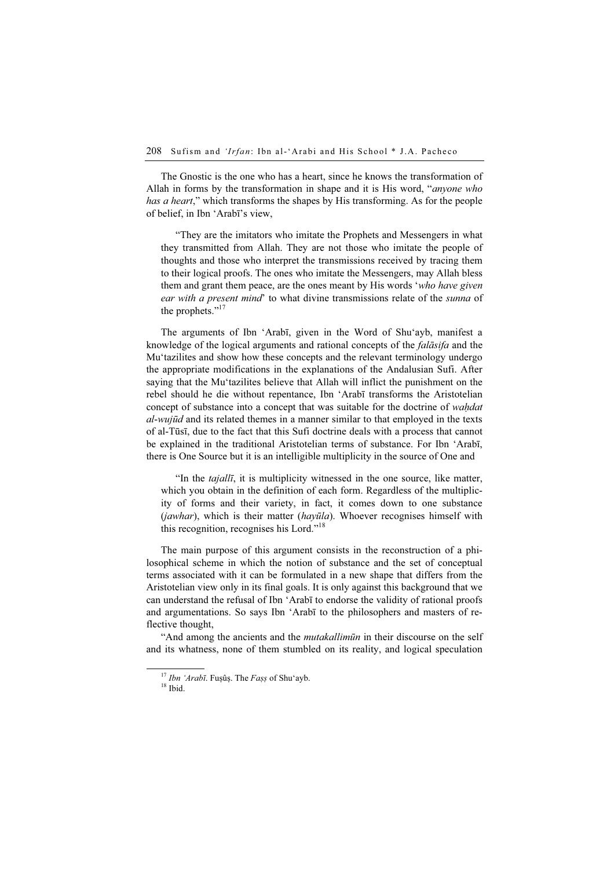The Gnostic is the one who has a heart, since he knows the transformation of Allah in forms by the transformation in shape and it is His word, "anyone who has a heart," which transforms the shapes by His transforming. As for the people of belief, in Ibn 'Arabī's view,

"They are the imitators who imitate the Prophets and Messengers in what they transmitted from Allah. They are not those who imitate the people of thoughts and those who interpret the transmissions received by tracing them to their logical proofs. The ones who imitate the Messengers, may Allah bless them and grant them peace, are the ones meant by His words 'who have given ear with a present mind' to what divine transmissions relate of the sunna of the prophets." $17$ 

The arguments of Ibn 'Arabī, given in the Word of Shu'ayb, manifest a knowledge of the logical arguments and rational concepts of the *falāsifa* and the Mu'tazilites and show how these concepts and the relevant terminology undergo the appropriate modifications in the explanations of the Andalusian Sufi. After saying that the Mu'tazilites believe that Allah will inflict the punishment on the rebel should he die without repentance, Ibn 'Arabī transforms the Aristotelian concept of substance into a concept that was suitable for the doctrine of *wahdat* al-wujūd and its related themes in a manner similar to that employed in the texts of al-Tūsī, due to the fact that this Sufi doctrine deals with a process that cannot be explained in the traditional Aristotelian terms of substance. For Ibn 'Arabī, there is One Source but it is an intelligible multiplicity in the source of One and

"In the tajallī, it is multiplicity witnessed in the one source, like matter, which you obtain in the definition of each form. Regardless of the multiplicity of forms and their variety, in fact, it comes down to one substance (iawhar), which is their matter (hayūla). Whoever recognises himself with this recognition, recognises his Lord."<sup>18</sup>

The main purpose of this argument consists in the reconstruction of a philosophical scheme in which the notion of substance and the set of conceptual terms associated with it can be formulated in a new shape that differs from the Aristotelian view only in its final goals. It is only against this background that we can understand the refusal of Ibn 'Arabī to endorse the validity of rational proofs and argumentations. So says Ibn 'Arabī to the philosophers and masters of reflective thought,

"And among the ancients and the mutakallimūn in their discourse on the self and its whatness, none of them stumbled on its reality, and logical speculation

 $^{17}$  Ibn 'Arabī. Fuṣûṣ. The Faṣṣ of Shu'ayb.  $^{18}$  Ibid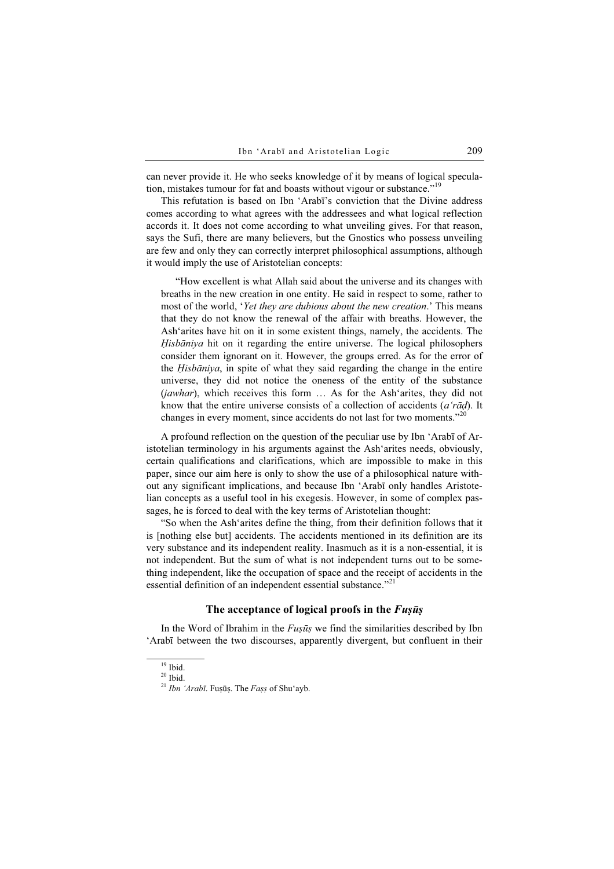can never provide it. He who seeks knowledge of it by means of logical speculation, mistakes tumour for fat and boasts without vigour or substance."<sup>19</sup>

This refutation is based on Ibn 'Arabī's conviction that the Divine address comes according to what agrees with the addressees and what logical reflection accords it. It does not come according to what unveiling gives. For that reason, says the Sufi, there are many believers, but the Gnostics who possess unveiling are few and only they can correctly interpret philosophical assumptions, although it would imply the use of Aristotelian concepts:

"How excellent is what Allah said about the universe and its changes with breaths in the new creation in one entity. He said in respect to some, rather to most of the world, *'Yet they are dubious about the new creation*.' This means that they do not know the renewal of the affair with breaths. However, the Ash'arites have hit on it in some existent things, namely, the accidents. The Hisbāniya hit on it regarding the entire universe. The logical philosophers consider them ignorant on it. However, the groups erred. As for the error of the *Hisbāniya*, in spite of what they said regarding the change in the entire universe, they did not notice the oneness of the entity of the substance (jawhar), which receives this form … As for the Ash'arites, they did not know that the entire universe consists of a collection of accidents  $(a' \tilde{rad})$ . It changes in every moment, since accidents do not last for two moments."<sup>20</sup>

A profound reflection on the question of the peculiar use by Ibn 'Arabī of Aristotelian terminology in his arguments against the Ash'arites needs, obviously, certain qualifications and clarifications, which are impossible to make in this paper, since our aim here is only to show the use of a philosophical nature without any significant implications, and because Ibn 'Arabī only handles Aristotelian concepts as a useful tool in his exegesis. However, in some of complex passages, he is forced to deal with the key terms of Aristotelian thought:

"So when the Ash'arites define the thing, from their definition follows that it is [nothing else but] accidents. The accidents mentioned in its definition are its very substance and its independent reality. Inasmuch as it is a non-essential, it is not independent. But the sum of what is not independent turns out to be something independent, like the occupation of space and the receipt of accidents in the essential definition of an independent essential substance."<sup>21</sup>

## The acceptance of logical proofs in the Fuşūș

In the Word of Ibrahim in the  $F \nu s \bar{u} s$  we find the similarities described by Ibn 'Arabī between the two discourses, apparently divergent, but confluent in their

 $19$  Ibid.

 $20$  Ibid.

 $^{21}$  Ibn 'Arabī. Fuṣūṣ. The Faṣṣ of Shu'ayb.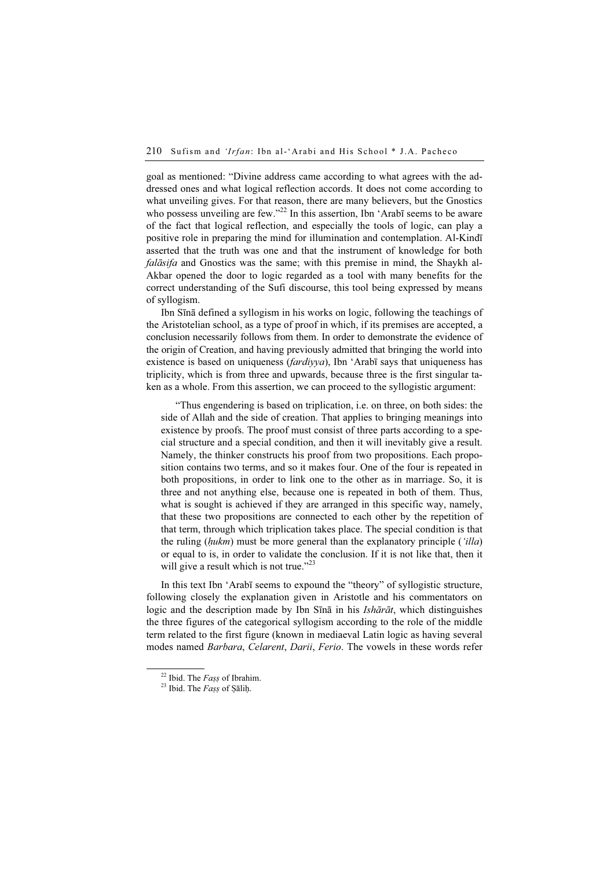goal as mentioned: "Divine address came according to what agrees with the addressed ones and what logical reflection accords. It does not come according to what unveiling gives. For that reason, there are many believers, but the Gnostics who possess unveiling are few."<sup>22</sup> In this assertion, Ibn 'Arabī seems to be aware of the fact that logical reflection, and especially the tools of logic, can play a positive role in preparing the mind for illumination and contemplation. Al-Kindī asserted that the truth was one and that the instrument of knowledge for both falāsifa and Gnostics was the same; with this premise in mind, the Shaykh al-Akbar opened the door to logic regarded as a tool with many benefits for the correct understanding of the Sufi discourse, this tool being expressed by means of syllogism.

Ibn Sīnā defined a syllogism in his works on logic, following the teachings of the Aristotelian school, as a type of proof in which, if its premises are accepted, a conclusion necessarily follows from them. In order to demonstrate the evidence of the origin of Creation, and having previously admitted that bringing the world into existence is based on uniqueness ( $\frac{f \cdot \hat{f}}{g}$ ), Ibn 'Arabī says that uniqueness has triplicity, which is from three and upwards, because three is the first singular taken as a whole. From this assertion, we can proceed to the syllogistic argument:

"Thus engendering is based on triplication, i.e. on three, on both sides: the side of Allah and the side of creation. That applies to bringing meanings into existence by proofs. The proof must consist of three parts according to a special structure and a special condition, and then it will inevitably give a result. Namely, the thinker constructs his proof from two propositions. Each proposition contains two terms, and so it makes four. One of the four is repeated in both propositions, in order to link one to the other as in marriage. So, it is three and not anything else, because one is repeated in both of them. Thus, what is sought is achieved if they are arranged in this specific way, namely, that these two propositions are connected to each other by the repetition of that term, through which triplication takes place. The special condition is that the ruling  $(hukm)$  must be more general than the explanatory principle (*'illa*) or equal to is, in order to validate the conclusion. If it is not like that, then it will give a result which is not true." $2^{23}$ 

In this text Ibn 'Arabī seems to expound the "theory" of syllogistic structure, following closely the explanation given in Aristotle and his commentators on logic and the description made by Ibn Sīnā in his Ishārāt, which distinguishes the three figures of the categorical syllogism according to the role of the middle term related to the first figure (known in mediaeval Latin logic as having several modes named Barbara, Celarent, Darii, Ferio. The vowels in these words refer

<sup>&</sup>lt;sup>22</sup> Ibid. The *Faṣṣ* of Ibrahim.<br><sup>23</sup> Ibid. The *Faṣṣ* of Ṣāliḥ.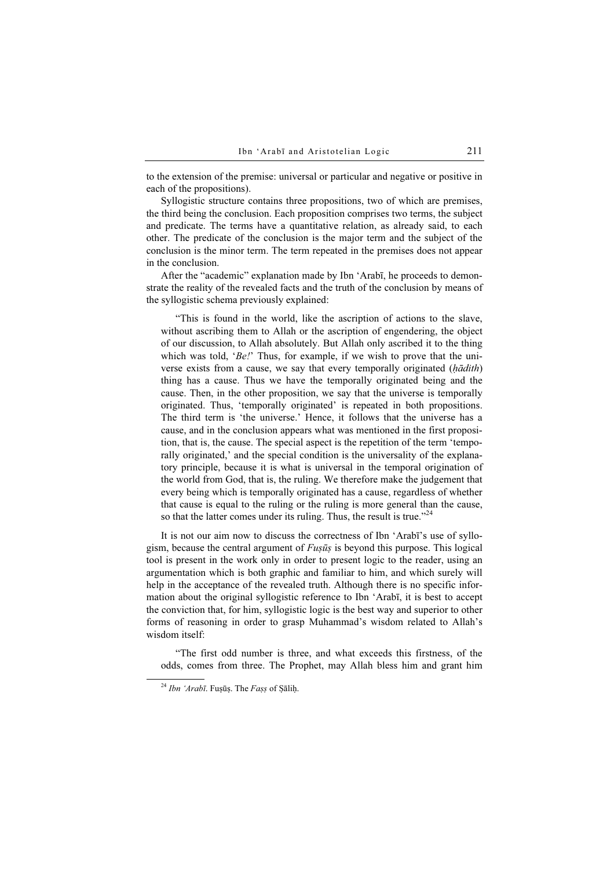to the extension of the premise: universal or particular and negative or positive in each of the propositions).

Syllogistic structure contains three propositions, two of which are premises, the third being the conclusion. Each proposition comprises two terms, the subject and predicate. The terms have a quantitative relation, as already said, to each other. The predicate of the conclusion is the major term and the subject of the conclusion is the minor term. The term repeated in the premises does not appear in the conclusion.

After the "academic" explanation made by Ibn 'Arabī, he proceeds to demonstrate the reality of the revealed facts and the truth of the conclusion by means of the syllogistic schema previously explained:

"This is found in the world, like the ascription of actions to the slave, without ascribing them to Allah or the ascription of engendering, the object of our discussion, to Allah absolutely. But Allah only ascribed it to the thing which was told, ' $Be$ !' Thus, for example, if we wish to prove that the universe exists from a cause, we say that every temporally originated (hadith) thing has a cause. Thus we have the temporally originated being and the cause. Then, in the other proposition, we say that the universe is temporally originated. Thus, 'temporally originated' is repeated in both propositions. The third term is 'the universe.' Hence, it follows that the universe has a cause, and in the conclusion appears what was mentioned in the first proposition, that is, the cause. The special aspect is the repetition of the term 'temporally originated,' and the special condition is the universality of the explanatory principle, because it is what is universal in the temporal origination of the world from God, that is, the ruling. We therefore make the judgement that every being which is temporally originated has a cause, regardless of whether that cause is equal to the ruling or the ruling is more general than the cause, so that the latter comes under its ruling. Thus, the result is true."<sup>24</sup>

It is not our aim now to discuss the correctness of Ibn 'Arabī's use of syllogism, because the central argument of  $F \sim u$ sus is beyond this purpose. This logical tool is present in the work only in order to present logic to the reader, using an argumentation which is both graphic and familiar to him, and which surely will help in the acceptance of the revealed truth. Although there is no specific information about the original syllogistic reference to Ibn 'Arabī, it is best to accept the conviction that, for him, syllogistic logic is the best way and superior to other forms of reasoning in order to grasp Muhammad's wisdom related to Allah's wisdom itself:

"The first odd number is three, and what exceeds this firstness, of the odds, comes from three. The Prophet, may Allah bless him and grant him

 $^{24}$  Ibn 'Arabī. Fuṣūṣ. The Faṣṣ of Ṣāliḥ.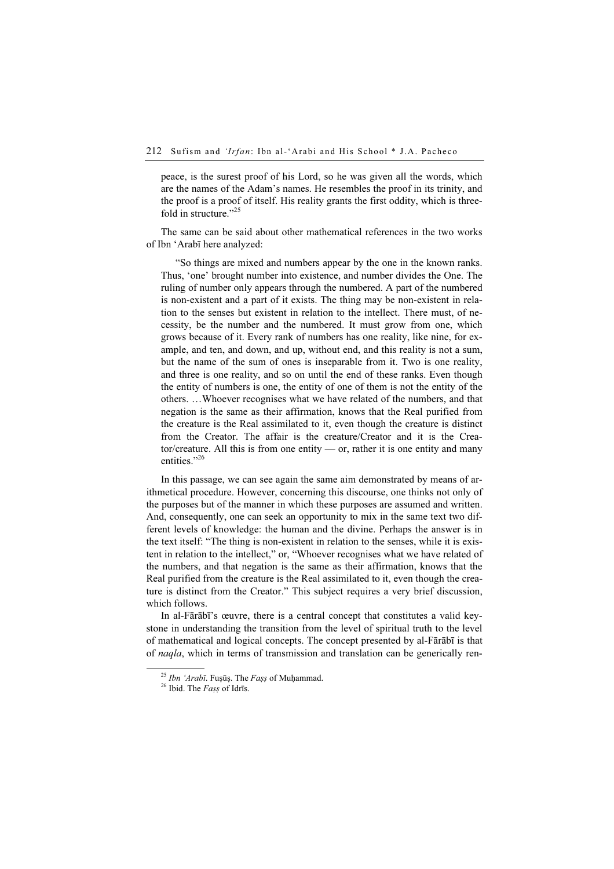peace, is the surest proof of his Lord, so he was given all the words, which are the names of the Adam's names. He resembles the proof in its trinity, and the proof is a proof of itself. His reality grants the first oddity, which is threefold in structure." $25$ 

The same can be said about other mathematical references in the two works of Ibn 'Arabī here analyzed:

"So things are mixed and numbers appear by the one in the known ranks. Thus, 'one' brought number into existence, and number divides the One. The ruling of number only appears through the numbered. A part of the numbered is non-existent and a part of it exists. The thing may be non-existent in relation to the senses but existent in relation to the intellect. There must, of necessity, be the number and the numbered. It must grow from one, which grows because of it. Every rank of numbers has one reality, like nine, for example, and ten, and down, and up, without end, and this reality is not a sum, but the name of the sum of ones is inseparable from it. Two is one reality, and three is one reality, and so on until the end of these ranks. Even though the entity of numbers is one, the entity of one of them is not the entity of the others. …Whoever recognises what we have related of the numbers, and that negation is the same as their affirmation, knows that the Real purified from the creature is the Real assimilated to it, even though the creature is distinct from the Creator. The affair is the creature/Creator and it is the Creator/creature. All this is from one entity — or, rather it is one entity and many entities."<sup>26</sup>

In this passage, we can see again the same aim demonstrated by means of arithmetical procedure. However, concerning this discourse, one thinks not only of the purposes but of the manner in which these purposes are assumed and written. And, consequently, one can seek an opportunity to mix in the same text two different levels of knowledge: the human and the divine. Perhaps the answer is in the text itself: "The thing is non-existent in relation to the senses, while it is existent in relation to the intellect," or, "Whoever recognises what we have related of the numbers, and that negation is the same as their affirmation, knows that the Real purified from the creature is the Real assimilated to it, even though the creature is distinct from the Creator." This subject requires a very brief discussion, which follows.

In al-Fārābī's œuvre, there is a central concept that constitutes a valid keystone in understanding the transition from the level of spiritual truth to the level of mathematical and logical concepts. The concept presented by al-Fārābī is that of naqla, which in terms of transmission and translation can be generically ren-

<sup>&</sup>lt;sup>25</sup> *Ibn 'Arabī*. Fuṣūṣ. The *Faṣṣ* of Muḥammad. <sup>26</sup> Ibid. The *Faṣṣ* of Idrīs.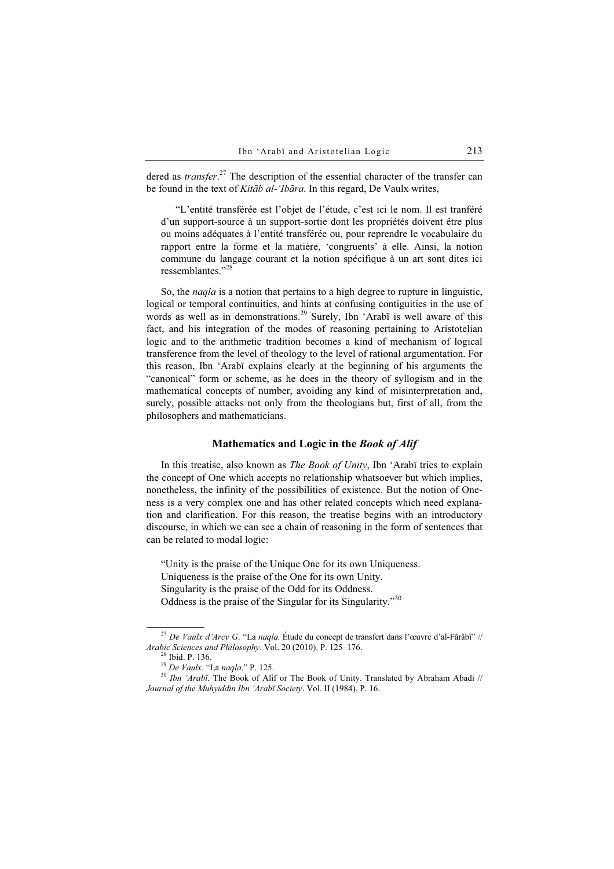dered as *transfer*.<sup>27</sup> The description of the essential character of the transfer can be found in the text of *Kitāb al-'Ibāra*. In this regard, De Vaulx writes,

"L'entité transférée est l'objet de l'étude, c'est ici le nom. Il est tranféré d'un support-source à un support-sortie dont les propriétés doivent être plus ou moins adéquates à l'entité transférée ou, pour reprendre le vocabulaire du rapport entre la forme et la matière, 'congruents' à elle. Ainsi, la notion commune du langage courant et la notion spécifique à un art sont dites ici ressemblantes."<sup>28</sup>

So, the naqla is a notion that pertains to a high degree to rupture in linguistic, logical or temporal continuities, and hints at confusing contiguities in the use of words as well as in demonstrations.<sup>29</sup> Surely, Ibn 'Arabī is well aware of this fact, and his integration of the modes of reasoning pertaining to Aristotelian logic and to the arithmetic tradition becomes a kind of mechanism of logical transference from the level of theology to the level of rational argumentation. For this reason, Ibn 'Arabī explains clearly at the beginning of his arguments the "canonical" form or scheme, as he does in the theory of syllogism and in the mathematical concepts of number, avoiding any kind of misinterpretation and, surely, possible attacks not only from the theologians but, first of all, from the philosophers and mathematicians.

## Mathematics and Logic in the Book of Alif

In this treatise, also known as *The Book of Unity*, Ibn 'Arabī tries to explain the concept of One which accepts no relationship whatsoever but which implies, nonetheless, the infinity of the possibilities of existence. But the notion of Oneness is a very complex one and has other related concepts which need explanation and clarification. For this reason, the treatise begins with an introductory discourse, in which we can see a chain of reasoning in the form of sentences that can be related to modal logic:

"Unity is the praise of the Unique One for its own Uniqueness. Uniqueness is the praise of the One for its own Unity. Singularity is the praise of the Odd for its Oddness. Oddness is the praise of the Singular for its Singularity."<sup>30</sup>

 $^{27}$  De Vaulx d'Arcy G. "La naqla. Étude du concept de transfert dans l'œuvre d'al-Fârâbî" // Arabic Sciences and Philosophy. Vol. 20 (2010). P. 125–176.<br><sup>28</sup> Ibid. P. 136.<br><sup>29</sup> De Vaulx. "La nagla." P. 125.

 $^{30}$  Ibn 'Arabī. The Book of Alif or The Book of Unity. Translated by Abraham Abadi // Journal of the Muhyiddin Ibn 'Arabī Society. Vol. II (1984). P. 16.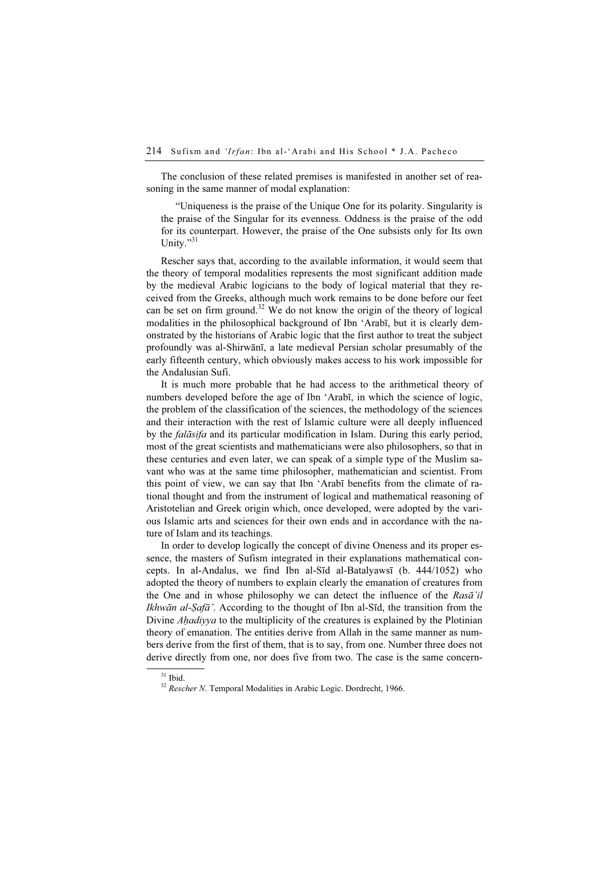The conclusion of these related premises is manifested in another set of reasoning in the same manner of modal explanation:

"Uniqueness is the praise of the Unique One for its polarity. Singularity is the praise of the Singular for its evenness. Oddness is the praise of the odd for its counterpart. However, the praise of the One subsists only for Its own Unity." $31$ 

Rescher says that, according to the available information, it would seem that the theory of temporal modalities represents the most significant addition made by the medieval Arabic logicians to the body of logical material that they received from the Greeks, although much work remains to be done before our feet can be set on firm ground.<sup>32</sup> We do not know the origin of the theory of logical modalities in the philosophical background of Ibn 'Arabī, but it is clearly demonstrated by the historians of Arabic logic that the first author to treat the subject profoundly was al-Shirwānī, a late medieval Persian scholar presumably of the early fifteenth century, which obviously makes access to his work impossible for the Andalusian Sufi.

It is much more probable that he had access to the arithmetical theory of numbers developed before the age of Ibn 'Arabī, in which the science of logic, the problem of the classification of the sciences, the methodology of the sciences and their interaction with the rest of Islamic culture were all deeply influenced by the falāsifa and its particular modification in Islam. During this early period, most of the great scientists and mathematicians were also philosophers, so that in these centuries and even later, we can speak of a simple type of the Muslim savant who was at the same time philosopher, mathematician and scientist. From this point of view, we can say that Ibn 'Arabī benefits from the climate of rational thought and from the instrument of logical and mathematical reasoning of Aristotelian and Greek origin which, once developed, were adopted by the various Islamic arts and sciences for their own ends and in accordance with the nature of Islam and its teachings.

In order to develop logically the concept of divine Oneness and its proper essence, the masters of Sufism integrated in their explanations mathematical concepts. In al-Andalus, we find Ibn al-Sīd al-Batalyawsī (b. 444/1052) who adopted the theory of numbers to explain clearly the emanation of creatures from the One and in whose philosophy we can detect the influence of the Rasa'il Ikhwān al-Ṣafā'. According to the thought of Ibn al-Sīd, the transition from the Divine *Ahadiyya* to the multiplicity of the creatures is explained by the Plotinian theory of emanation. The entities derive from Allah in the same manner as numbers derive from the first of them, that is to say, from one. Number three does not derive directly from one, nor does five from two. The case is the same concern-

 $31$  Ibid.

<sup>&</sup>lt;sup>32</sup> Rescher N. Temporal Modalities in Arabic Logic. Dordrecht, 1966.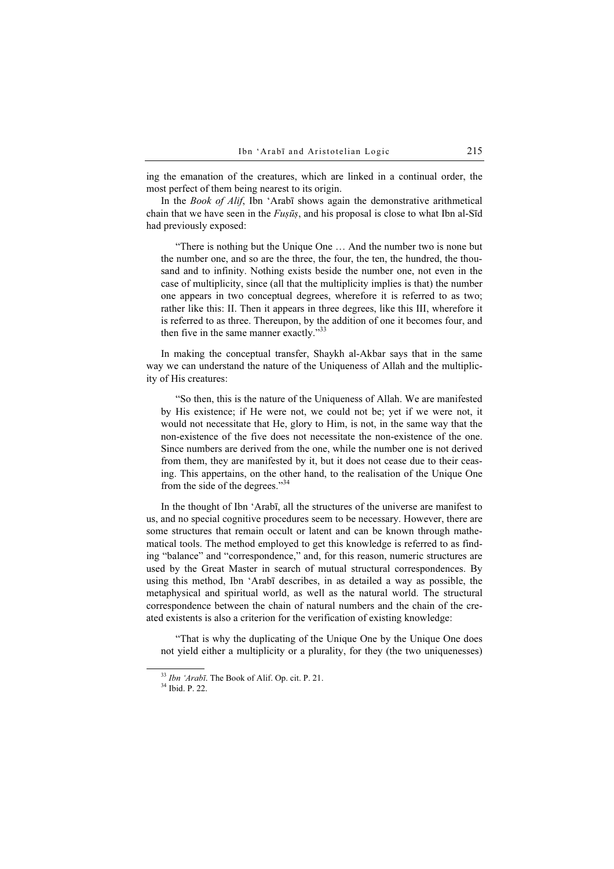ing the emanation of the creatures, which are linked in a continual order, the most perfect of them being nearest to its origin.

In the *Book of Alif*, Ibn 'Arabī shows again the demonstrative arithmetical chain that we have seen in the  $F \iota \iota s \bar \iota s$ , and his proposal is close to what Ibn al-Sīd had previously exposed:

"There is nothing but the Unique One … And the number two is none but the number one, and so are the three, the four, the ten, the hundred, the thousand and to infinity. Nothing exists beside the number one, not even in the case of multiplicity, since (all that the multiplicity implies is that) the number one appears in two conceptual degrees, wherefore it is referred to as two; rather like this: II. Then it appears in three degrees, like this III, wherefore it is referred to as three. Thereupon, by the addition of one it becomes four, and then five in the same manner exactly."<sup>33</sup>

In making the conceptual transfer, Shaykh al-Akbar says that in the same way we can understand the nature of the Uniqueness of Allah and the multiplicity of His creatures:

"So then, this is the nature of the Uniqueness of Allah. We are manifested by His existence; if He were not, we could not be; yet if we were not, it would not necessitate that He, glory to Him, is not, in the same way that the non-existence of the five does not necessitate the non-existence of the one. Since numbers are derived from the one, while the number one is not derived from them, they are manifested by it, but it does not cease due to their ceasing. This appertains, on the other hand, to the realisation of the Unique One from the side of the degrees."<sup>34</sup>

In the thought of Ibn 'Arabī, all the structures of the universe are manifest to us, and no special cognitive procedures seem to be necessary. However, there are some structures that remain occult or latent and can be known through mathematical tools. The method employed to get this knowledge is referred to as finding "balance" and "correspondence," and, for this reason, numeric structures are used by the Great Master in search of mutual structural correspondences. By using this method, Ibn 'Arabī describes, in as detailed a way as possible, the metaphysical and spiritual world, as well as the natural world. The structural correspondence between the chain of natural numbers and the chain of the created existents is also a criterion for the verification of existing knowledge:

"That is why the duplicating of the Unique One by the Unique One does not yield either a multiplicity or a plurality, for they (the two uniquenesses)

 $33$  *Ibn 'Arabī*. The Book of Alif. Op. cit. P. 21.  $34$  Ibid. P. 22.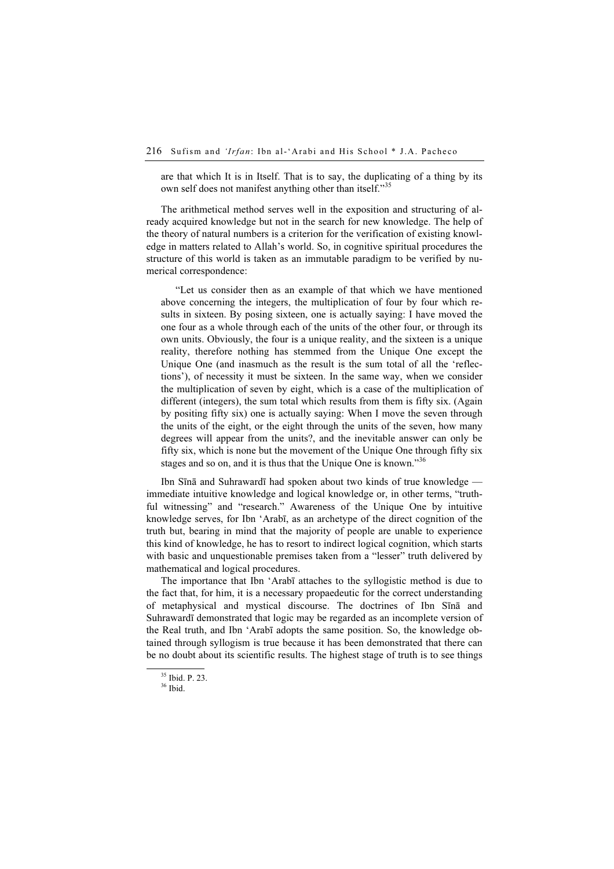are that which It is in Itself. That is to say, the duplicating of a thing by its own self does not manifest anything other than itself."<sup>35</sup>

The arithmetical method serves well in the exposition and structuring of already acquired knowledge but not in the search for new knowledge. The help of the theory of natural numbers is a criterion for the verification of existing knowledge in matters related to Allah's world. So, in cognitive spiritual procedures the structure of this world is taken as an immutable paradigm to be verified by numerical correspondence:

"Let us consider then as an example of that which we have mentioned above concerning the integers, the multiplication of four by four which results in sixteen. By posing sixteen, one is actually saying: I have moved the one four as a whole through each of the units of the other four, or through its own units. Obviously, the four is a unique reality, and the sixteen is a unique reality, therefore nothing has stemmed from the Unique One except the Unique One (and inasmuch as the result is the sum total of all the 'reflections'), of necessity it must be sixteen. In the same way, when we consider the multiplication of seven by eight, which is a case of the multiplication of different (integers), the sum total which results from them is fifty six. (Again by positing fifty six) one is actually saying: When I move the seven through the units of the eight, or the eight through the units of the seven, how many degrees will appear from the units?, and the inevitable answer can only be fifty six, which is none but the movement of the Unique One through fifty six stages and so on, and it is thus that the Unique One is known."<sup>36</sup>

Ibn Sīnā and Suhrawardī had spoken about two kinds of true knowledge immediate intuitive knowledge and logical knowledge or, in other terms, "truthful witnessing" and "research." Awareness of the Unique One by intuitive knowledge serves, for Ibn 'Arabī, as an archetype of the direct cognition of the truth but, bearing in mind that the majority of people are unable to experience this kind of knowledge, he has to resort to indirect logical cognition, which starts with basic and unquestionable premises taken from a "lesser" truth delivered by mathematical and logical procedures.

The importance that Ibn 'Arabī attaches to the syllogistic method is due to the fact that, for him, it is a necessary propaedeutic for the correct understanding of metaphysical and mystical discourse. The doctrines of Ibn Sīnā and Suhrawardī demonstrated that logic may be regarded as an incomplete version of the Real truth, and Ibn 'Arabī adopts the same position. So, the knowledge obtained through syllogism is true because it has been demonstrated that there can be no doubt about its scientific results. The highest stage of truth is to see things

<sup>35</sup> Ibid. P. 23.

<sup>36</sup> Ibid.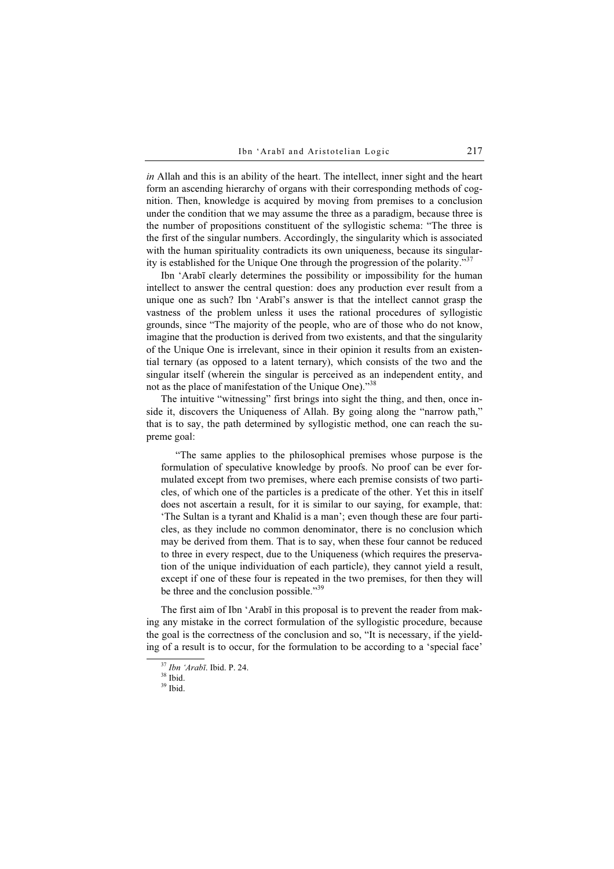in Allah and this is an ability of the heart. The intellect, inner sight and the heart form an ascending hierarchy of organs with their corresponding methods of cognition. Then, knowledge is acquired by moving from premises to a conclusion under the condition that we may assume the three as a paradigm, because three is the number of propositions constituent of the syllogistic schema: "The three is the first of the singular numbers. Accordingly, the singularity which is associated with the human spirituality contradicts its own uniqueness, because its singularity is established for the Unique One through the progression of the polarity."<sup>37</sup>

Ibn 'Arabī clearly determines the possibility or impossibility for the human intellect to answer the central question: does any production ever result from a unique one as such? Ibn 'Arabī's answer is that the intellect cannot grasp the vastness of the problem unless it uses the rational procedures of syllogistic grounds, since "The majority of the people, who are of those who do not know, imagine that the production is derived from two existents, and that the singularity of the Unique One is irrelevant, since in their opinion it results from an existential ternary (as opposed to a latent ternary), which consists of the two and the singular itself (wherein the singular is perceived as an independent entity, and not as the place of manifestation of the Unique One)."<sup>38</sup>

The intuitive "witnessing" first brings into sight the thing, and then, once inside it, discovers the Uniqueness of Allah. By going along the "narrow path," that is to say, the path determined by syllogistic method, one can reach the supreme goal:

"The same applies to the philosophical premises whose purpose is the formulation of speculative knowledge by proofs. No proof can be ever formulated except from two premises, where each premise consists of two particles, of which one of the particles is a predicate of the other. Yet this in itself does not ascertain a result, for it is similar to our saying, for example, that: 'The Sultan is a tyrant and Khalid is a man'; even though these are four particles, as they include no common denominator, there is no conclusion which may be derived from them. That is to say, when these four cannot be reduced to three in every respect, due to the Uniqueness (which requires the preservation of the unique individuation of each particle), they cannot yield a result, except if one of these four is repeated in the two premises, for then they will be three and the conclusion possible."<sup>39</sup>

The first aim of Ibn 'Arabī in this proposal is to prevent the reader from making any mistake in the correct formulation of the syllogistic procedure, because the goal is the correctness of the conclusion and so, "It is necessary, if the yielding of a result is to occur, for the formulation to be according to a 'special face'

 $\frac{37}{38}$ *Ibn 'Arabī*. Ibid. P. 24.

<sup>39</sup> Ibid.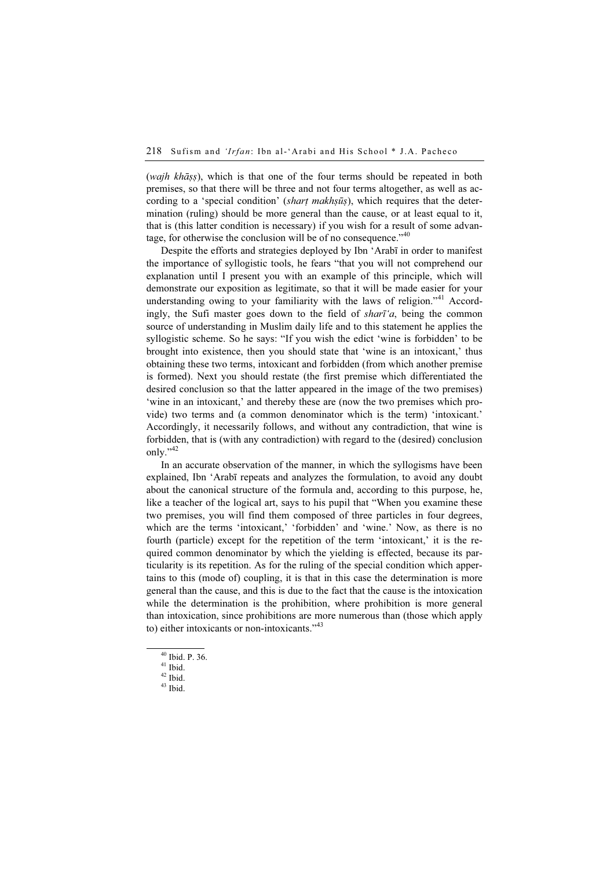(wajh khāṣṣ), which is that one of the four terms should be repeated in both premises, so that there will be three and not four terms altogether, as well as according to a 'special condition' (shart makhsus), which requires that the determination (ruling) should be more general than the cause, or at least equal to it, that is (this latter condition is necessary) if you wish for a result of some advantage, for otherwise the conclusion will be of no consequence."<sup>40</sup>

Despite the efforts and strategies deployed by Ibn 'Arabī in order to manifest the importance of syllogistic tools, he fears "that you will not comprehend our explanation until I present you with an example of this principle, which will demonstrate our exposition as legitimate, so that it will be made easier for your understanding owing to your familiarity with the laws of religion."<sup>41</sup> Accordingly, the Sufi master goes down to the field of  $shar\tilde{i}a$ , being the common source of understanding in Muslim daily life and to this statement he applies the syllogistic scheme. So he says: "If you wish the edict 'wine is forbidden' to be brought into existence, then you should state that 'wine is an intoxicant,' thus obtaining these two terms, intoxicant and forbidden (from which another premise is formed). Next you should restate (the first premise which differentiated the desired conclusion so that the latter appeared in the image of the two premises) 'wine in an intoxicant,' and thereby these are (now the two premises which provide) two terms and (a common denominator which is the term) 'intoxicant.' Accordingly, it necessarily follows, and without any contradiction, that wine is forbidden, that is (with any contradiction) with regard to the (desired) conclusion only."<sup>42</sup>

In an accurate observation of the manner, in which the syllogisms have been explained, Ibn 'Arabī repeats and analyzes the formulation, to avoid any doubt about the canonical structure of the formula and, according to this purpose, he, like a teacher of the logical art, says to his pupil that "When you examine these two premises, you will find them composed of three particles in four degrees, which are the terms 'intoxicant,' 'forbidden' and 'wine.' Now, as there is no fourth (particle) except for the repetition of the term 'intoxicant,' it is the required common denominator by which the yielding is effected, because its particularity is its repetition. As for the ruling of the special condition which appertains to this (mode of) coupling, it is that in this case the determination is more general than the cause, and this is due to the fact that the cause is the intoxication while the determination is the prohibition, where prohibition is more general than intoxication, since prohibitions are more numerous than (those which apply to) either intoxicants or non-intoxicants."<sup>43</sup>

<sup>40</sup> Ibid. P. 36.

 $41$  Ibid.

 $42$  Ibid.

<sup>43</sup> Ibid.